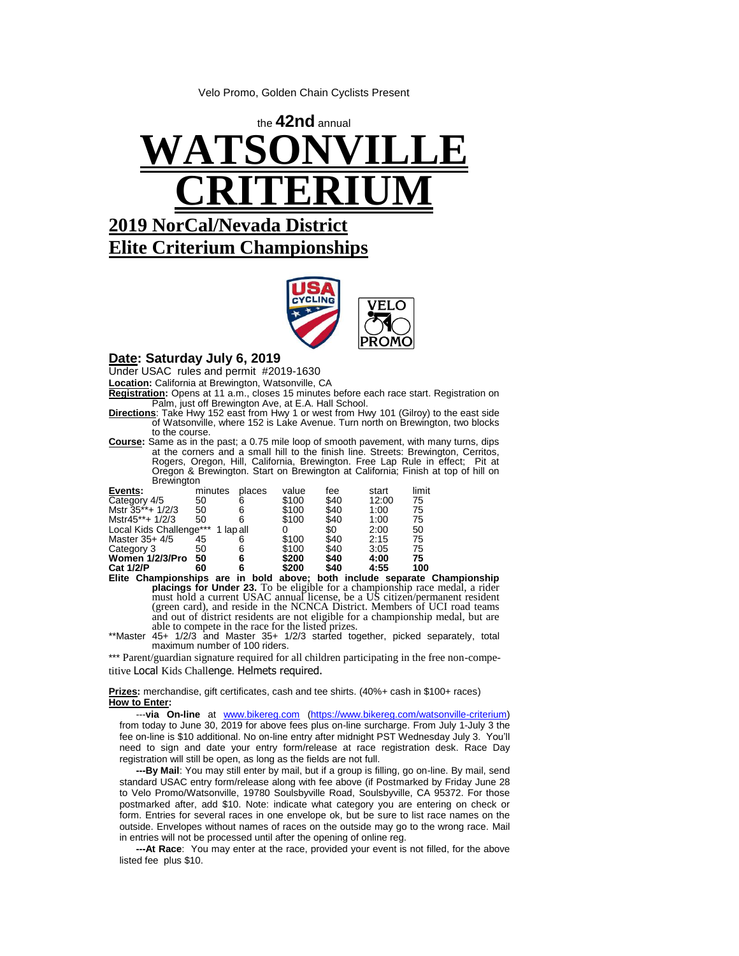Velo Promo, Golden Chain Cyclists Present





## **Date: Saturday July 6, 2019**

Under USAC rules and permit #2019-1630

**Location:** California at Brewington, Watsonville, CA

**Registration:** Opens at 11 a.m., closes 15 minutes before each race start. Registration on Palm, just off Brewington Ave, at E.A. Hall School.

- **Directions**: Take Hwy 152 east from Hwy 1 or west from Hwy 101 (Gilroy) to the east side of Watsonville, where 152 is Lake Avenue. Turn north on Brewington, two blocks to the course.
- **Course:** Same as in the past; a 0.75 mile loop of smooth pavement, with many turns, dips at the corners and a small hill to the finish line. Streets: Brewington, Cerritos, Rogers. Oregon. Hill, California, Brewington, Free Lap Rule in effect; Pit at Rogers, Oregon, Hill, California, Brewington. Free Lap Rule in effect; Oregon & Brewington. Start on Brewington at California; Finish at top of hill on **Brewington**

| Events:                 | minutes | places  | value | fee  | start | limit |
|-------------------------|---------|---------|-------|------|-------|-------|
| Category 4/5            | 50      |         | \$100 | \$40 | 12:00 | 75    |
| Mstr 35**+ 1/2/3        | 50      |         | \$100 | \$40 | 1:00  | 75    |
| Mstr45**+ 1/2/3         | 50      |         | \$100 | \$40 | 1:00  | 75    |
| Local Kids Challenge*** |         | lap all |       | \$0  | 2:00  | 50    |
| Master $35+4/5$         | 45      |         | \$100 | \$40 | 2:15  | 75    |
| Category 3              | 50      |         | \$100 | \$40 | 3:05  | 75    |
| Women 1/2/3/Pro         | 50      | 6       | \$200 | \$40 | 4:00  | 75    |
| <b>Cat 1/2/P</b>        | 60      |         | \$200 | \$40 | 4:55  | 100   |

**Elite Championships are in bold above; both include separate Championship placings for Under 23.** To be eligible for a championship race medal, a rider must hold a current USAC annual license, be a US citizen/permanent resident (green card), and reside in the NCNCA District. Members of UCI road teams and out of district residents are not eligible for a championship medal, but are able to compete in the race for the listed prizes.

\*\*Master 45+ 1/2/3 and Master 35+ 1/2/3 started together, picked separately, total maximum number of 100 riders.

\*\*\* Parent/guardian signature required for all children participating in the free non-competitive Local Kids Challenge. Helmets required.

**Prizes:** merchandise, gift certificates, cash and tee shirts. (40%+ cash in \$100+ races) **How to Enter:** 

 ---**via On-line** at [www.bikereg.com](http://www.bikereg.com/) [\(https://www.bikereg.com/watsonville-criterium\)](https://www.bikereg.com/watsonville-criterium) from today to June 30, 2019 for above fees plus on-line surcharge. From July 1-July 3 the fee on-line is \$10 additional. No on-line entry after midnight PST Wednesday July 3. You'll need to sign and date your entry form/release at race registration desk. Race Day registration will still be open, as long as the fields are not full.

 **---By Mail**: You may still enter by mail, but if a group is filling, go on-line. By mail, send standard USAC entry form/release along with fee above (if Postmarked by Friday June 28 to Velo Promo/Watsonville, 19780 Soulsbyville Road, Soulsbyville, CA 95372. For those postmarked after, add \$10. Note: indicate what category you are entering on check or form. Entries for several races in one envelope ok, but be sure to list race names on the outside. Envelopes without names of races on the outside may go to the wrong race. Mail in entries will not be processed until after the opening of online reg.

 **---At Race**: You may enter at the race, provided your event is not filled, for the above listed fee plus \$10.